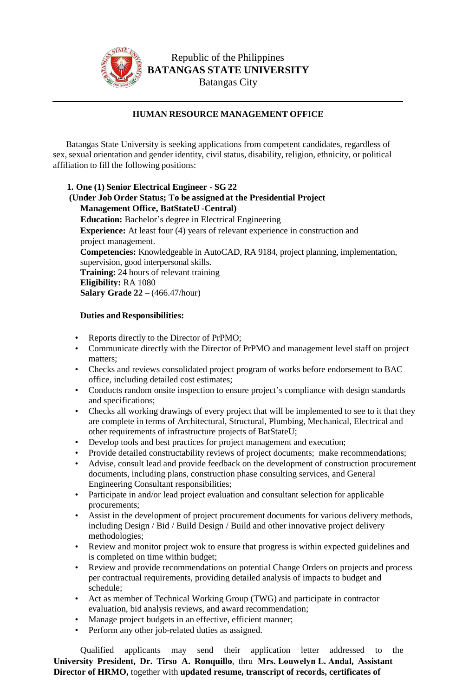

Republic of the Philippines **BATANGAS STATE UNIVERSITY**  Batangas City

## **HUMAN RESOURCE MANAGEMENT OFFICE**

Batangas State University is seeking applications from competent candidates, regardless of sex, sexual orientation and gender identity, civil status, disability, religion, ethnicity, or political affiliation to fill the following positions:

**1. One (1) Senior Electrical Engineer - SG 22 (Under Job Order Status; To be assigned at the Presidential Project Management Office, BatStateU -Central) Education:** Bachelor's degree in Electrical Engineering **Experience:** At least four (4) years of relevant experience in construction and project management. **Competencies:** Knowledgeable in AutoCAD, RA 9184, project planning, implementation, supervision, good interpersonal skills. **Training:** 24 hours of relevant training **Eligibility:** RA 1080 **Salary Grade 22** – (466.47/hour)

## **Duties and Responsibilities:**

- Reports directly to the Director of PrPMO;
- Communicate directly with the Director of PrPMO and management level staff on project matters;
- Checks and reviews consolidated project program of works before endorsement to BAC office, including detailed cost estimates;
- Conducts random onsite inspection to ensure project's compliance with design standards and specifications;
- Checks all working drawings of every project that will be implemented to see to it that they are complete in terms of Architectural, Structural, Plumbing, Mechanical, Electrical and other requirements of infrastructure projects of BatStateU;
- Develop tools and best practices for project management and execution;
- Provide detailed constructability reviews of project documents; make recommendations;
- Advise, consult lead and provide feedback on the development of construction procurement documents, including plans, construction phase consulting services, and General Engineering Consultant responsibilities;
- Participate in and/or lead project evaluation and consultant selection for applicable procurements;
- Assist in the development of project procurement documents for various delivery methods, including Design / Bid / Build Design / Build and other innovative project delivery methodologies;
- Review and monitor project wok to ensure that progress is within expected guidelines and is completed on time within budget;
- Review and provide recommendations on potential Change Orders on projects and process per contractual requirements, providing detailed analysis of impacts to budget and schedule;
- Act as member of Technical Working Group (TWG) and participate in contractor evaluation, bid analysis reviews, and award recommendation;
- Manage project budgets in an effective, efficient manner;
- Perform any other job-related duties as assigned.

Qualified applicants may send their application letter addressed to the **University President, Dr. Tirso A. Ronquillo**, thru **Mrs. Louwelyn L. Andal, Assistant Director of HRMO,** together with **updated resume, transcript of records, certificates of**